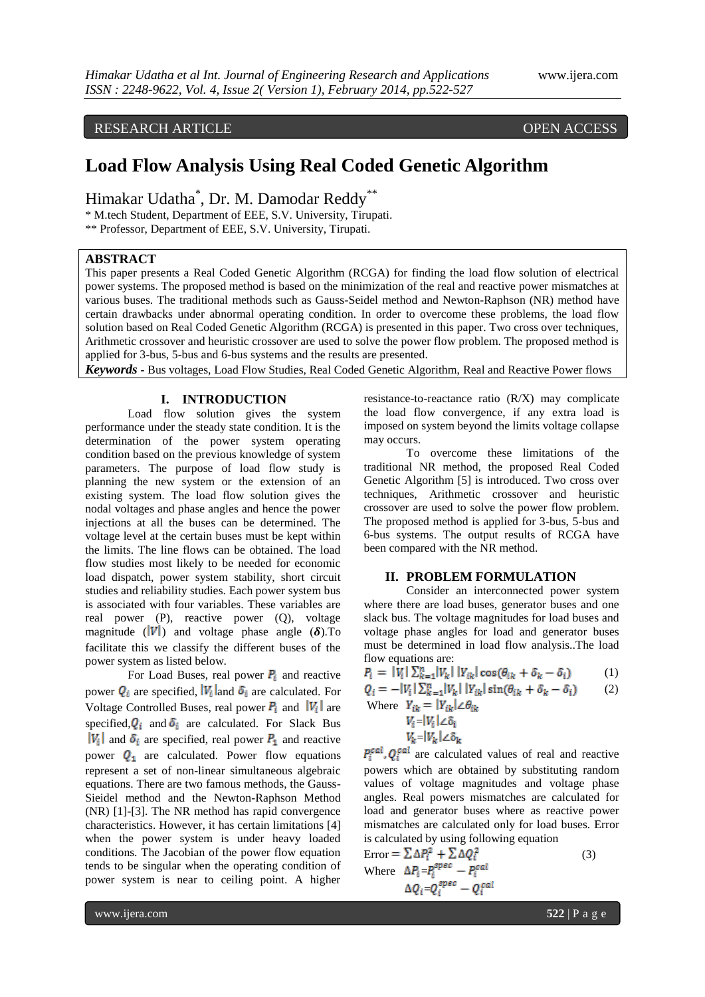## RESEARCH ARTICLE OPEN ACCESS

# **Load Flow Analysis Using Real Coded Genetic Algorithm**

Himakar Udatha\* , Dr. M. Damodar Reddy\*\*

\* M.tech Student, Department of EEE, S.V. University, Tirupati.

\*\* Professor, Department of EEE, S.V. University, Tirupati.

## **ABSTRACT**

This paper presents a Real Coded Genetic Algorithm (RCGA) for finding the load flow solution of electrical power systems. The proposed method is based on the minimization of the real and reactive power mismatches at various buses. The traditional methods such as Gauss-Seidel method and Newton-Raphson (NR) method have certain drawbacks under abnormal operating condition. In order to overcome these problems, the load flow solution based on Real Coded Genetic Algorithm (RCGA) is presented in this paper. Two cross over techniques, Arithmetic crossover and heuristic crossover are used to solve the power flow problem. The proposed method is applied for 3-bus, 5-bus and 6-bus systems and the results are presented.

*Keywords* **-** Bus voltages, Load Flow Studies, Real Coded Genetic Algorithm, Real and Reactive Power flows

## **I. INTRODUCTION**

Load flow solution gives the system performance under the steady state condition. It is the determination of the power system operating condition based on the previous knowledge of system parameters. The purpose of load flow study is planning the new system or the extension of an existing system. The load flow solution gives the nodal voltages and phase angles and hence the power injections at all the buses can be determined. The voltage level at the certain buses must be kept within the limits. The line flows can be obtained. The load flow studies most likely to be needed for economic load dispatch, power system stability, short circuit studies and reliability studies. Each power system bus is associated with four variables. These variables are real power (P), reactive power (Q), voltage magnitude ( $|V|$ ) and voltage phase angle ( $\delta$ ). To facilitate this we classify the different buses of the power system as listed below.

For Load Buses, real power  $P_i$  and reactive power  $Q_i$  are specified,  $|V_i|$  and  $\delta_i$  are calculated. For Voltage Controlled Buses, real power  $P_i$  and  $|V_i|$  are specified,  $Q_i$  and  $\delta_i$  are calculated. For Slack Bus  $|V_i|$  and  $\delta_i$  are specified, real power  $P_1$  and reactive power  $Q_1$  are calculated. Power flow equations represent a set of non-linear simultaneous algebraic equations. There are two famous methods, the Gauss-Sieidel method and the Newton-Raphson Method (NR) [1]-[3]. The NR method has rapid convergence characteristics. However, it has certain limitations [4] when the power system is under heavy loaded conditions. The Jacobian of the power flow equation tends to be singular when the operating condition of power system is near to ceiling point. A higher

resistance-to-reactance ratio (R/X) may complicate the load flow convergence, if any extra load is imposed on system beyond the limits voltage collapse may occurs.

To overcome these limitations of the traditional NR method, the proposed Real Coded Genetic Algorithm [5] is introduced. Two cross over techniques, Arithmetic crossover and heuristic crossover are used to solve the power flow problem. The proposed method is applied for 3-bus, 5-bus and 6-bus systems. The output results of RCGA have been compared with the NR method.

#### **II. PROBLEM FORMULATION**

Consider an interconnected power system where there are load buses, generator buses and one slack bus. The voltage magnitudes for load buses and voltage phase angles for load and generator buses must be determined in load flow analysis..The load flow equations are:

$$
P_i = |V_i| \sum_{k=1}^n |V_k| |Y_{ik}| \cos(\theta_{ik} + \delta_k - \delta_i)
$$
 (1)

$$
Q_i = -|V_i| \sum_{k=1}^n |V_k| |V_{ik}| \sin(\theta_{ik} + \delta_k - \delta_i)
$$
 (2)

Where  $Y_{ik} = |Y_{ik}| \angle \theta_{ik}$  $V_i = |V_i| \angle \delta_i$  $V_k = |V_k| \angle \delta_k$ 

 $P_i^{\text{cal}}$ ,  $Q_i^{\text{cal}}$  are calculated values of real and reactive powers which are obtained by substituting random values of voltage magnitudes and voltage phase angles. Real powers mismatches are calculated for load and generator buses where as reactive power mismatches are calculated only for load buses. Error is calculated by using following equation

Error = 
$$
\sum \Delta P_i^2 + \sum \Delta Q_i^2
$$
 (3)  
Where  $\Delta P_i = P_i^{spec} - P_i^{cal}$   
 $\Delta Q_i = Q_i^{spec} - Q_i^{cal}$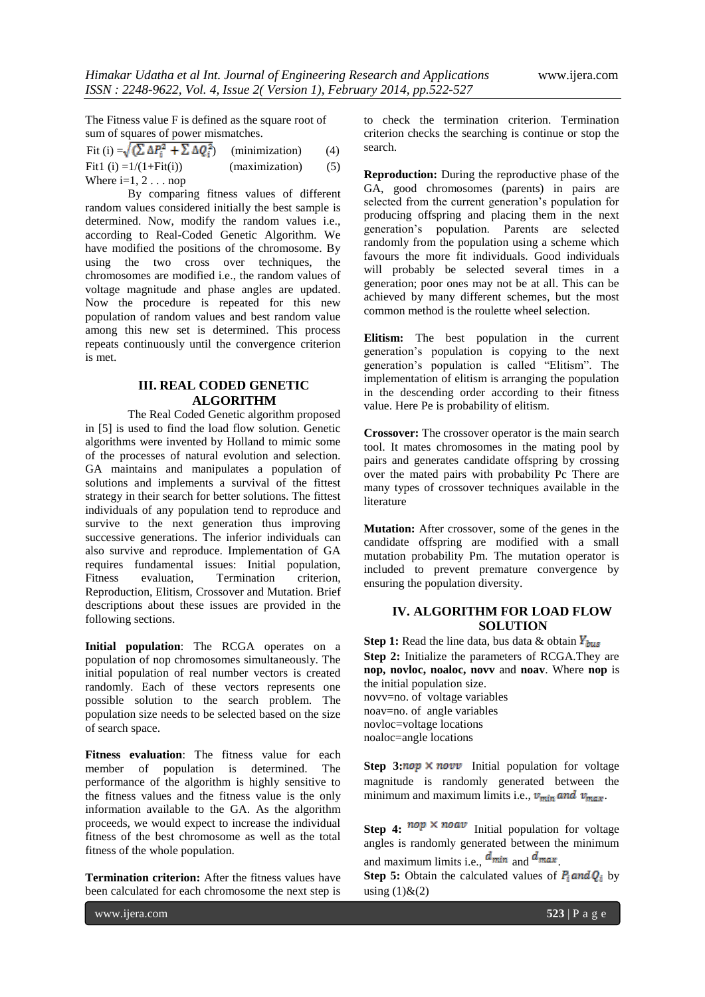The Fitness value F is defined as the square root of sum of squares of power mismatches.

| Fit (i) $=\sqrt{\left(\sum \Delta P_i^2 + \sum \Delta Q_i^2\right)}$ | (minimization) | (4) |
|----------------------------------------------------------------------|----------------|-----|
| Fit1 (i) $=1/(1 + Fit(i))$                                           | (maximization) | (5) |
| Where $i=1, 2$ nop                                                   |                |     |

By comparing fitness values of different random values considered initially the best sample is determined. Now, modify the random values i.e., according to Real-Coded Genetic Algorithm. We have modified the positions of the chromosome. By using the two cross over techniques, the chromosomes are modified i.e., the random values of voltage magnitude and phase angles are updated. Now the procedure is repeated for this new population of random values and best random value among this new set is determined. This process repeats continuously until the convergence criterion is met.

## **III. REAL CODED GENETIC ALGORITHM**

The Real Coded Genetic algorithm proposed in [5] is used to find the load flow solution. Genetic algorithms were invented by Holland to mimic some of the processes of natural evolution and selection. GA maintains and manipulates a population of solutions and implements a survival of the fittest strategy in their search for better solutions. The fittest individuals of any population tend to reproduce and survive to the next generation thus improving successive generations. The inferior individuals can also survive and reproduce. Implementation of GA requires fundamental issues: Initial population, Fitness evaluation, Termination criterion, Reproduction, Elitism, Crossover and Mutation. Brief descriptions about these issues are provided in the following sections.

**Initial population**: The RCGA operates on a population of nop chromosomes simultaneously. The initial population of real number vectors is created randomly. Each of these vectors represents one possible solution to the search problem. The population size needs to be selected based on the size of search space.

**Fitness evaluation**: The fitness value for each member of population is determined. The performance of the algorithm is highly sensitive to the fitness values and the fitness value is the only information available to the GA. As the algorithm proceeds, we would expect to increase the individual fitness of the best chromosome as well as the total fitness of the whole population.

**Termination criterion:** After the fitness values have been calculated for each chromosome the next step is

to check the termination criterion. Termination criterion checks the searching is continue or stop the search.

**Reproduction:** During the reproductive phase of the GA, good chromosomes (parents) in pairs are selected from the current generation's population for producing offspring and placing them in the next generation's population. Parents are selected randomly from the population using a scheme which favours the more fit individuals. Good individuals will probably be selected several times in a generation; poor ones may not be at all. This can be achieved by many different schemes, but the most common method is the roulette wheel selection.

**Elitism:** The best population in the current generation's population is copying to the next generation's population is called "Elitism". The implementation of elitism is arranging the population in the descending order according to their fitness value. Here Pe is probability of elitism.

**Crossover:** The crossover operator is the main search tool. It mates chromosomes in the mating pool by pairs and generates candidate offspring by crossing over the mated pairs with probability Pc There are many types of crossover techniques available in the literature

**Mutation:** After crossover, some of the genes in the candidate offspring are modified with a small mutation probability Pm. The mutation operator is included to prevent premature convergence by ensuring the population diversity.

## **IV. ALGORITHM FOR LOAD FLOW SOLUTION**

**Step 1:** Read the line data, bus data & obtain  $Y_{bus}$ **Step 2:** Initialize the parameters of RCGA.They are **nop, novloc, noaloc, novv** and **noav**. Where **nop** is the initial population size. novv=no. of voltage variables noav=no. of angle variables novloc=voltage locations noaloc=angle locations

**Step 3:** nop  $\times$  novv Initial population for voltage magnitude is randomly generated between the minimum and maximum limits i.e.,  $v_{min}$  and  $v_{max}$ .

**Step 4:**  $^{nop} \times$  **noav** Initial population for voltage angles is randomly generated between the minimum and maximum limits i.e.,  $d_{min}$  and  $d_{max}$ .

**Step 5:** Obtain the calculated values of  $P_i$  and  $Q_i$  by using  $(1)$ & $(2)$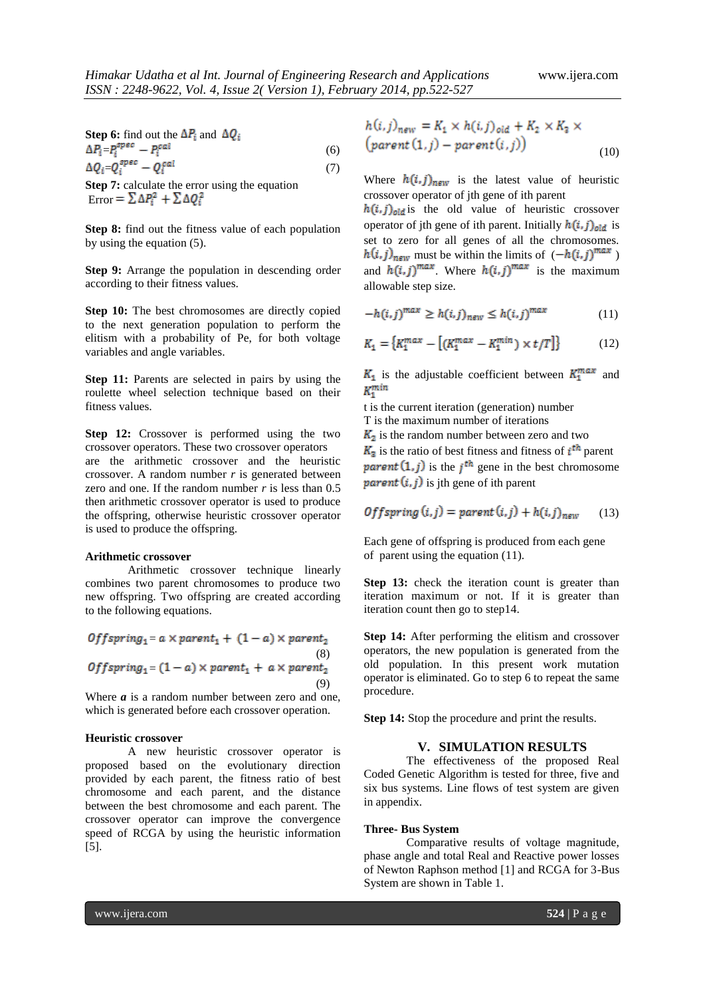**Step 6:** find out the  $\Delta P_i$  and  $\Delta Q_i$  $\Delta P_i = P_i^{spec} - P_i^{cal} \tag{6}$  $\Delta Q_i = Q_i^{spec} - Q_i^{cal}$  (7)

**Step 7:** calculate the error using the equation Error =  $\sum \Delta P_i^2 + \sum \Delta Q_i^2$ 

**Step 8:** find out the fitness value of each population by using the equation (5).

**Step 9:** Arrange the population in descending order according to their fitness values.

**Step 10:** The best chromosomes are directly copied to the next generation population to perform the elitism with a probability of Pe, for both voltage variables and angle variables.

**Step 11:** Parents are selected in pairs by using the roulette wheel selection technique based on their fitness values.

**Step 12:** Crossover is performed using the two crossover operators. These two crossover operators are the arithmetic crossover and the heuristic crossover. A random number *r* is generated between zero and one. If the random number *r* is less than 0.5 then arithmetic crossover operator is used to produce the offspring, otherwise heuristic crossover operator is used to produce the offspring.

#### **Arithmetic crossover**

Arithmetic crossover technique linearly combines two parent chromosomes to produce two new offspring. Two offspring are created according to the following equations.

\n
$$
\text{Offspring}_1 = a \times \text{parent}_1 + (1 - a) \times \text{parent}_2
$$
\n  
\n $\text{(8)}$ \n  
\n $\text{Offspring}_1 = (1 - a) \times \text{parent}_1 + a \times \text{parent}_2$ \n  
\n $\text{(9)}$ \n

Where *a* is a random number between zero and one, which is generated before each crossover operation.

#### **Heuristic crossover**

A new heuristic crossover operator is proposed based on the evolutionary direction provided by each parent, the fitness ratio of best chromosome and each parent, and the distance between the best chromosome and each parent. The crossover operator can improve the convergence speed of RCGA by using the heuristic information [5].

$$
h(i,j)_{new} = K_1 \times h(i,j)_{old} + K_2 \times K_3 \times
$$
  
(parent(1,j) - parent(i,j)) (10)

Where  $h(i, j)_{new}$  is the latest value of heuristic crossover operator of jth gene of ith parent

 $h(i, j)_{old}$  is the old value of heuristic crossover operator of jth gene of ith parent. Initially  $h(i, j)_{old}$  is set to zero for all genes of all the chromosomes.  $h(i, j)_{new}$  must be within the limits of  $(-h(i, j)^{max})$ and  $h(i, j)^{max}$ . Where  $h(i, j)^{max}$  is the maximum allowable step size.

$$
-h(i,j)^{\max} \ge h(i,j)_{new} \le h(i,j)^{\max} \tag{11}
$$

$$
K_1 = \{K_1^{max} - \left[ (K_1^{max} - K_1^{min}) \times t/T \right] \}
$$
 (12)

 $K_1$  is the adjustable coefficient between  $K_1^{max}$  and  $K^{min}$ 

t is the current iteration (generation) number

T is the maximum number of iterations

 $K<sub>2</sub>$  is the random number between zero and two  $K_3$  is the ratio of best fitness and fitness of  $i<sup>th</sup>$  parent parent  $(1, j)$  is the j<sup>th</sup> gene in the best chromosome *parent*  $(i, j)$  is jth gene of ith parent

$$
Offspring(i, j) = parent(i, j) + h(i, j)_{new} \qquad (13)
$$

Each gene of offspring is produced from each gene of parent using the equation (11).

**Step 13:** check the iteration count is greater than iteration maximum or not. If it is greater than iteration count then go to step14.

**Step 14:** After performing the elitism and crossover operators, the new population is generated from the old population. In this present work mutation operator is eliminated. Go to step 6 to repeat the same procedure.

**Step 14:** Stop the procedure and print the results.

#### **V. SIMULATION RESULTS**

The effectiveness of the proposed Real Coded Genetic Algorithm is tested for three, five and six bus systems. Line flows of test system are given in appendix.

#### **Three- Bus System**

Comparative results of voltage magnitude, phase angle and total Real and Reactive power losses of Newton Raphson method [1] and RCGA for 3-Bus System are shown in Table 1.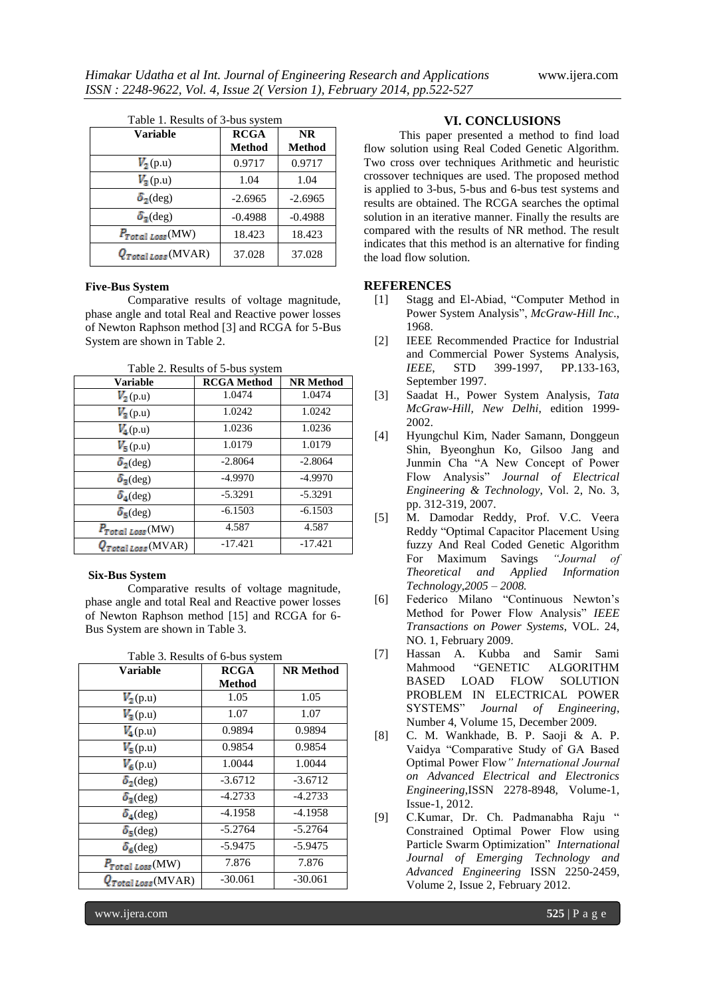| <b>Variable</b>         | <b>RCGA</b><br>Method | <b>NR</b><br>Method |  |
|-------------------------|-----------------------|---------------------|--|
| $V_2(p.u)$              | 0.9717                | 0.9717              |  |
| $V_3(p.u)$              | 1.04                  | 1.04                |  |
| $\delta_2$ (deg)        | $-2.6965$             | $-2.6965$           |  |
| $\delta_{\rm z}$ (deg)  | $-0.4988$             | $-0.4988$           |  |
| $P_{Total Loss}(MW)$    | 18.423                | 18.423              |  |
| $Q_{Total Loss}$ (MVAR) | 37.028                | 37.028              |  |

#### **Five-Bus System**

Comparative results of voltage magnitude, phase angle and total Real and Reactive power losses of Newton Raphson method [3] and RCGA for 5-Bus System are shown in Table 2.

|   | Table 2. Results of 5-bus system          |
|---|-------------------------------------------|
| . | $\sim$ $\sim$ $\sim$ $\sim$ $\sim$ $\sim$ |

| <b>Variable</b>           | <b>RCGA</b> Method | <b>NR Method</b> |
|---------------------------|--------------------|------------------|
| $V_2(p.u)$                | 1.0474             | 1.0474           |
| $V_3(p.u)$                | 1.0242             | 1.0242           |
| $V_4(p.u)$                | 1.0236             | 1.0236           |
| $V_5(p.u)$                | 1.0179             | 1.0179           |
| $\delta_2$ (deg)          | $-2.8064$          | $-2.8064$        |
| $\delta_3$ (deg)          | $-4.9970$          | $-4.9970$        |
| $\delta_4$ (deg)          | $-5.3291$          | $-5.3291$        |
| $\delta_5$ (deg)          | $-6.1503$          | $-6.1503$        |
| $P_{Total\;Loss}$ (MW)    | 4.587              | 4.587            |
| $Q_{Total \, Loss}(MVAR)$ | $-17.421$          | $-17.421$        |

#### **Six-Bus System**

Comparative results of voltage magnitude, phase angle and total Real and Reactive power losses of Newton Raphson method [15] and RCGA for 6- Bus System are shown in Table 3.

| <b>Variable</b>           | <b>RCGA</b> | <b>NR Method</b> |
|---------------------------|-------------|------------------|
|                           | Method      |                  |
| $V_2(p.u)$                | 1.05        | 1.05             |
| $V_3(p.u)$                | 1.07        | 1.07             |
| $V_4(p.u)$                | 0.9894      | 0.9894           |
| $V_5(p.u)$                | 0.9854      | 0.9854           |
| $V_6(p.u)$                | 1.0044      | 1.0044           |
| $\delta_2$ (deg)          | $-3.6712$   | $-3.6712$        |
| $\delta_{2}$ (deg)        | $-4.2733$   | $-4.2733$        |
| $\delta_4$ (deg)          | $-4.1958$   | $-4.1958$        |
| $\delta_5$ (deg)          | $-5.2764$   | $-5.2764$        |
| $\delta_6$ (deg)          | $-5.9475$   | $-5.9475$        |
| $P_{Total Loss}$ (MW)     | 7.876       | 7.876            |
| ( <i>Total Loss</i> (MVAR | $-30.061$   | $-30.061$        |

Table 3. Results of 6-bus system

#### **VI. CONCLUSIONS**

 This paper presented a method to find load flow solution using Real Coded Genetic Algorithm. Two cross over techniques Arithmetic and heuristic crossover techniques are used. The proposed method is applied to 3-bus, 5-bus and 6-bus test systems and results are obtained. The RCGA searches the optimal solution in an iterative manner. Finally the results are compared with the results of NR method. The result indicates that this method is an alternative for finding the load flow solution.

#### **REFERENCES**

- [1] Stagg and El-Abiad, "Computer Method in Power System Analysis", *McGraw-Hill Inc*., 1968.
- [2] IEEE Recommended Practice for Industrial and Commercial Power Systems Analysis, *IEEE*, STD 399-1997, PP.133-163, September 1997.
- [3] Saadat H., Power System Analysis, *Tata McGraw-Hill, New Delhi*, edition 1999- 2002.
- [4] Hyungchul Kim, Nader Samann, Donggeun Shin, Byeonghun Ko, Gilsoo Jang and Junmin Cha "A New Concept of Power Flow Analysis" *Journal of Electrical Engineering & Technology*, Vol. 2, No. 3, pp. 312-319, 2007.
- [5] M. Damodar Reddy, Prof. V.C. Veera Reddy "Optimal Capacitor Placement Using fuzzy And Real Coded Genetic Algorithm For Maximum Savings *"Journal of Theoretical and Applied Information Technology,2005 – 2008.*
- [6] Federico Milano "Continuous Newton's Method for Power Flow Analysis" *IEEE Transactions on Power Systems*, VOL. 24, NO. 1, February 2009.
- [7] Hassan A. Kubba and Samir Sami Mahmood "GENETIC ALGORITHM BASED LOAD FLOW SOLUTION PROBLEM IN ELECTRICAL POWER SYSTEMS" *Journal of Engineering*, Number 4, Volume 15, December 2009.
- [8] C. M. Wankhade, B. P. Saoji & A. P. Vaidya "Comparative Study of GA Based Optimal Power Flow*" International Journal on Advanced Electrical and Electronics Engineering*,ISSN 2278-8948, Volume-1, Issue-1, 2012.
- [9] C.Kumar, Dr. Ch. Padmanabha Raju " Constrained Optimal Power Flow using Particle Swarm Optimization" *International Journal of Emerging Technology and Advanced Engineering* ISSN 2250-2459, Volume 2, Issue 2, February 2012.

www.ijera.com **525** | P a g e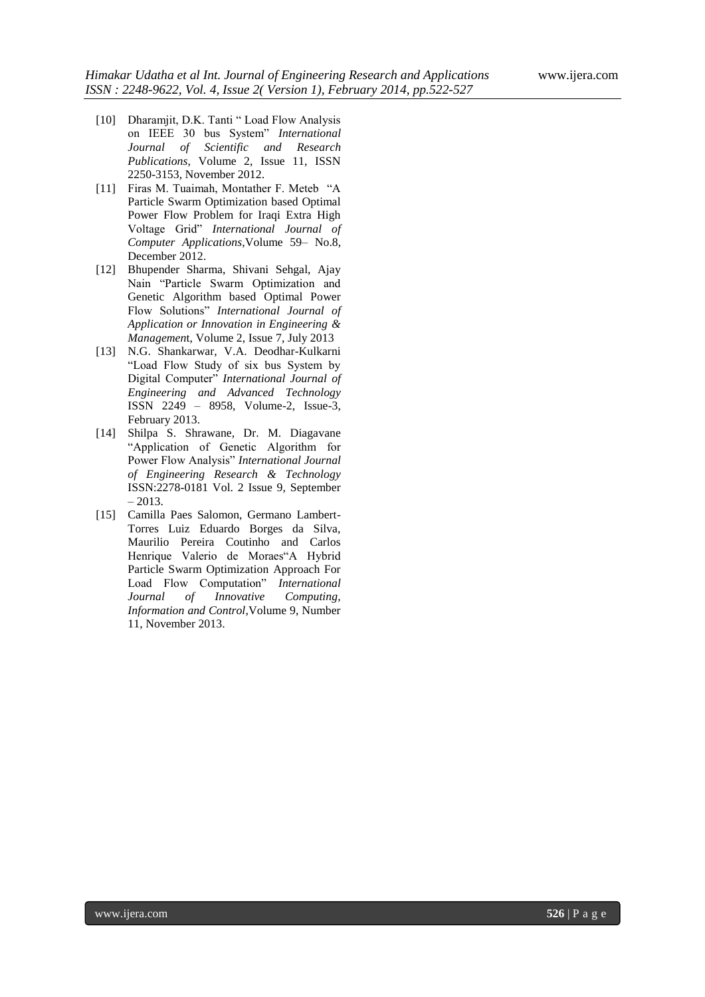- [10] Dharamjit, D.K. Tanti " Load Flow Analysis on IEEE 30 bus System" *International Journal of Scientific and Research Publications*, Volume 2, Issue 11, ISSN 2250-3153, November 2012.
- [11] Firas M. Tuaimah, Montather F. Meteb "A Particle Swarm Optimization based Optimal Power Flow Problem for Iraqi Extra High Voltage Grid" *International Journal of Computer Applications*,Volume 59– No.8, December 2012.
- [12] Bhupender Sharma, Shivani Sehgal, Ajay Nain "Particle Swarm Optimization and Genetic Algorithm based Optimal Power Flow Solutions" *International Journal of Application or Innovation in Engineering & Managemen*t, Volume 2, Issue 7, July 2013
- [13] N.G. Shankarwar, V.A. Deodhar-Kulkarni "Load Flow Study of six bus System by Digital Computer" *International Journal of Engineering and Advanced Technology* ISSN 2249 – 8958, Volume-2, Issue-3, February 2013.
- [14] Shilpa S. Shrawane, Dr. M. Diagavane "Application of Genetic Algorithm for Power Flow Analysis" *International Journal of Engineering Research & Technology*  ISSN:2278-0181 Vol. 2 Issue 9, September  $-2013.$
- [15] Camilla Paes Salomon, Germano Lambert-Torres Luiz Eduardo Borges da Silva, Maurilio Pereira Coutinho and Carlos Henrique Valerio de Moraes"A Hybrid Particle Swarm Optimization Approach For Load Flow Computation" *International Journal of Innovative Computing, Information and Control*,Volume 9, Number 11, November 2013.